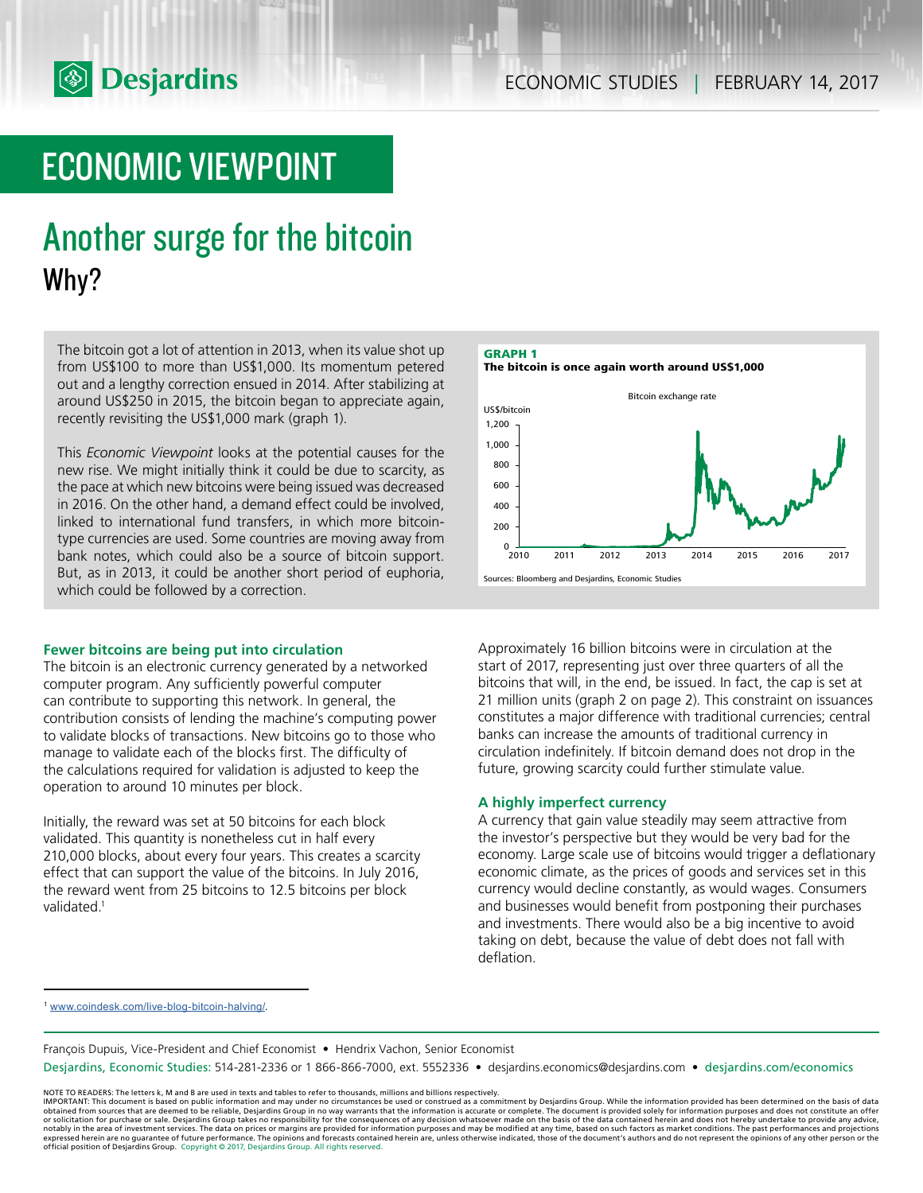

# ECONOMIC VIEWPOINT

# Another surge for the bitcoin Why?

The bitcoin got a lot of attention in 2013, when its value shot up from US\$100 to more than US\$1,000. Its momentum petered out and a lengthy correction ensued in 2014. After stabilizing at around US\$250 in 2015, the bitcoin began to appreciate again, recently revisiting the US\$1,000 mark (graph 1).

This *Economic Viewpoint* looks at the potential causes for the new rise. We might initially think it could be due to scarcity, as the pace at which new bitcoins were being issued was decreased in 2016. On the other hand, a demand effect could be involved, linked to international fund transfers, in which more bitcointype currencies are used. Some countries are moving away from bank notes, which could also be a source of bitcoin support. But, as in 2013, it could be another short period of euphoria, which could be followed by a correction.

## **Fewer bitcoins are being put into circulation**

The bitcoin is an electronic currency generated by a networked computer program. Any sufficiently powerful computer can contribute to supporting this network. In general, the contribution consists of lending the machine's computing power to validate blocks of transactions. New bitcoins go to those who manage to validate each of the blocks first. The difficulty of the calculations required for validation is adjusted to keep the operation to around 10 minutes per block.

Initially, the reward was set at 50 bitcoins for each block validated. This quantity is nonetheless cut in half every 210,000 blocks, about every four years. This creates a scarcity effect that can support the value of the bitcoins. In July 2016, the reward went from 25 bitcoins to 12.5 bitcoins per block validated<sup>1</sup>



Approximately 16 billion bitcoins were in circulation at the start of 2017, representing just over three quarters of all the bitcoins that will, in the end, be issued. In fact, the cap is set at 21 million units (graph 2 on page 2). This constraint on issuances constitutes a major difference with traditional currencies; central banks can increase the amounts of traditional currency in circulation indefinitely. If bitcoin demand does not drop in the future, growing scarcity could further stimulate value.

## **A highly imperfect currency**

A currency that gain value steadily may seem attractive from the investor's perspective but they would be very bad for the economy. Large scale use of bitcoins would trigger a deflationary economic climate, as the prices of goods and services set in this currency would decline constantly, as would wages. Consumers and businesses would benefit from postponing their purchases and investments. There would also be a big incentive to avoid taking on debt, because the value of debt does not fall with deflation.

<sup>1</sup> <www.coindesk.com/live-blog-bitcoin-halving/.>

François Dupuis, Vice-President and Chief Economist • Hendrix Vachon, Senior Economist

Desjardins, Economic Studies: 514-281-2336 or 1 866-866-7000, ext. 5552336 • desjardins.economics@desjardins.com • desjardins.com/economics

NOTE TO READERS: The letters k, M and B are used in texts and tables to refer to thousands, millions and billions respectively.<br>IMPORTANT: This document is based on public information and may under no circumstances be used obtained from sources that are deemed to be reliable, Desjardins Group in no way warrants that the information is accurate or complete. The document is provided solely for information purposes and does not constitute an of expressed herein are no guarantee of future performance. The opinions and forecasts contained herein are, unless otherwise indicated, those of the document's authors and do not represent the opinions of any other person or official position of Desjardins Group. Copyright © 2017, Desjardins Group. All rights reserved.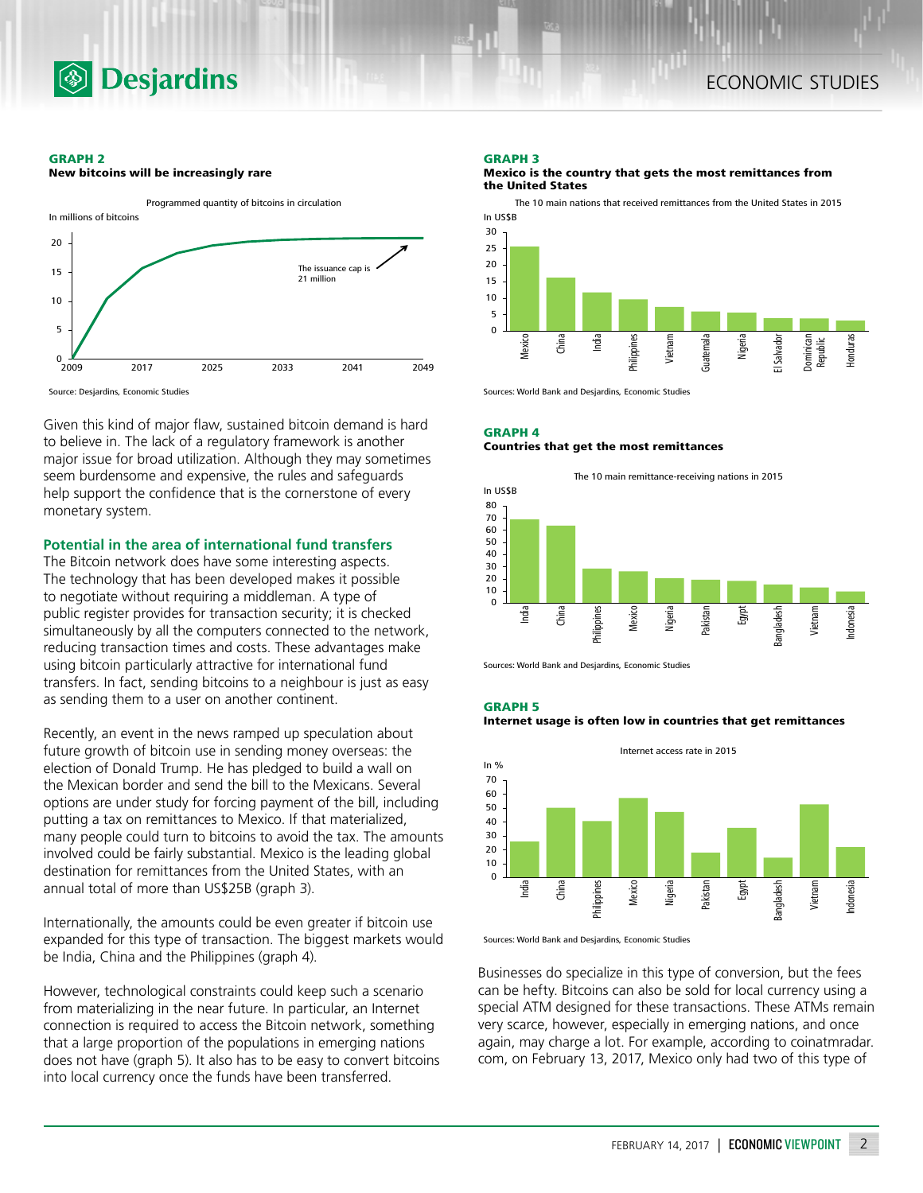

### **GRAPH 2**

**New bitcoins will be increasingly rare**



Source: Desjardins, Economic Studies

Given this kind of major flaw, sustained bitcoin demand is hard to believe in. The lack of a regulatory framework is another major issue for broad utilization. Although they may sometimes seem burdensome and expensive, the rules and safeguards help support the confidence that is the cornerstone of every monetary system.

## **Potential in the area of international fund transfers**

The Bitcoin network does have some interesting aspects. The technology that has been developed makes it possible to negotiate without requiring a middleman. A type of public register provides for transaction security; it is checked simultaneously by all the computers connected to the network, reducing transaction times and costs. These advantages make using bitcoin particularly attractive for international fund transfers. In fact, sending bitcoins to a neighbour is just as easy as sending them to a user on another continent.

Recently, an event in the news ramped up speculation about future growth of bitcoin use in sending money overseas: the election of Donald Trump. He has pledged to build a wall on the Mexican border and send the bill to the Mexicans. Several options are under study for forcing payment of the bill, including putting a tax on remittances to Mexico. If that materialized, many people could turn to bitcoins to avoid the tax. The amounts involved could be fairly substantial. Mexico is the leading global destination for remittances from the United States, with an annual total of more than US\$25B (graph 3).

Internationally, the amounts could be even greater if bitcoin use expanded for this type of transaction. The biggest markets would be India, China and the Philippines (graph 4).

However, technological constraints could keep such a scenario from materializing in the near future. In particular, an Internet connection is required to access the Bitcoin network, something that a large proportion of the populations in emerging nations does not have (graph 5). It also has to be easy to convert bitcoins into local currency once the funds have been transferred.

## **GRAPH 3**

#### **Mexico is the country that gets the most remittances from the United States**

The 10 main nations that received remittances from the United States in 2015



Sources: World Bank and Desjardins, Economic Studies

# **GRAPH 4 Countries that get the most remittances**



Sources: World Bank and Desjardins, Economic Studies





Sources: World Bank and Desjardins, Economic Studies

Businesses do specialize in this type of conversion, but the fees can be hefty. Bitcoins can also be sold for local currency using a special ATM designed for these transactions. These ATMs remain very scarce, however, especially in emerging nations, and once again, may charge a lot. For example, according to coinatmradar. com, on February 13, 2017, Mexico only had two of this type of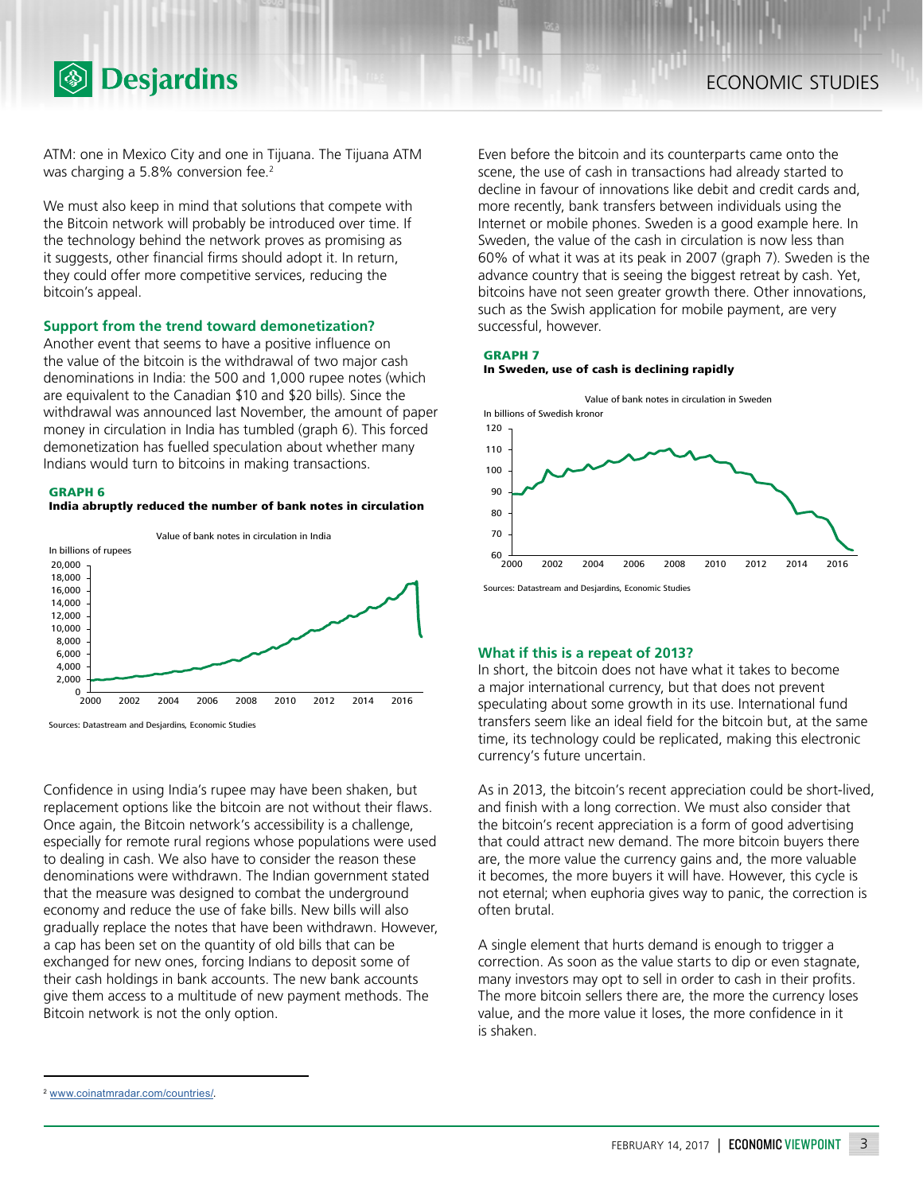

ATM: one in Mexico City and one in Tijuana. The Tijuana ATM was charging a 5.8% conversion fee.<sup>2</sup>

We must also keep in mind that solutions that compete with the Bitcoin network will probably be introduced over time. If the technology behind the network proves as promising as it suggests, other financial firms should adopt it. In return, they could offer more competitive services, reducing the bitcoin's appeal.

## **Support from the trend toward demonetization?**

Another event that seems to have a positive influence on the value of the bitcoin is the withdrawal of two major cash denominations in India: the 500 and 1,000 rupee notes (which are equivalent to the Canadian \$10 and \$20 bills). Since the withdrawal was announced last November, the amount of paper money in circulation in India has tumbled (graph 6). This forced demonetization has fuelled speculation about whether many Indians would turn to bitcoins in making transactions.



**India abruptly reduced the number of bank notes in circulation**



Confidence in using India's rupee may have been shaken, but replacement options like the bitcoin are not without their flaws. Once again, the Bitcoin network's accessibility is a challenge, especially for remote rural regions whose populations were used to dealing in cash. We also have to consider the reason these denominations were withdrawn. The Indian government stated that the measure was designed to combat the underground economy and reduce the use of fake bills. New bills will also gradually replace the notes that have been withdrawn. However, a cap has been set on the quantity of old bills that can be exchanged for new ones, forcing Indians to deposit some of their cash holdings in bank accounts. The new bank accounts give them access to a multitude of new payment methods. The Bitcoin network is not the only option.

Even before the bitcoin and its counterparts came onto the scene, the use of cash in transactions had already started to decline in favour of innovations like debit and credit cards and, more recently, bank transfers between individuals using the Internet or mobile phones. Sweden is a good example here. In Sweden, the value of the cash in circulation is now less than 60% of what it was at its peak in 2007 (graph 7). Sweden is the advance country that is seeing the biggest retreat by cash. Yet, bitcoins have not seen greater growth there. Other innovations, such as the Swish application for mobile payment, are very successful, however.

### **GRAPH 7 In Sweden, use of cash is declining rapidly**



Sources: Datastream and Desjardins, Economic Studies

# **What if this is a repeat of 2013?**

In short, the bitcoin does not have what it takes to become a major international currency, but that does not prevent speculating about some growth in its use. International fund transfers seem like an ideal field for the bitcoin but, at the same time, its technology could be replicated, making this electronic currency's future uncertain.

As in 2013, the bitcoin's recent appreciation could be short-lived, and finish with a long correction. We must also consider that the bitcoin's recent appreciation is a form of good advertising that could attract new demand. The more bitcoin buyers there are, the more value the currency gains and, the more valuable it becomes, the more buyers it will have. However, this cycle is not eternal; when euphoria gives way to panic, the correction is often brutal.

A single element that hurts demand is enough to trigger a correction. As soon as the value starts to dip or even stagnate, many investors may opt to sell in order to cash in their profits. The more bitcoin sellers there are, the more the currency loses value, and the more value it loses, the more confidence in it is shaken.

<sup>2</sup> <www.coinatmradar.com/countries/>.